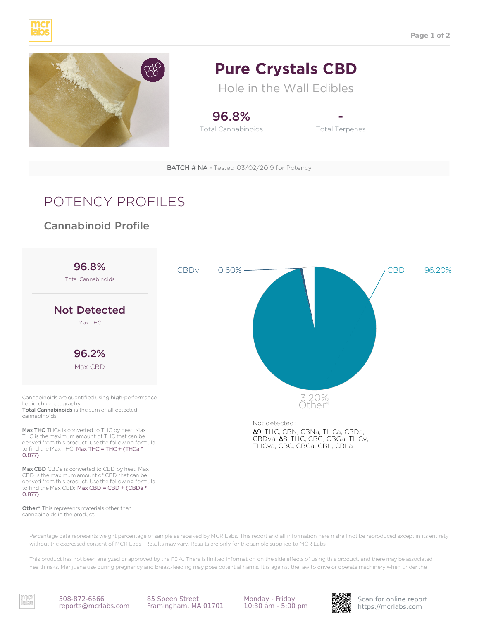



## **Pure Crystals CBD**

Hole in the Wall Edibles

96.8% Total Cannabinoids

- Total Terpenes

## POTENCY PROFILES

## Cannabinoid Profile



Other\* This represents materials other than cannabinoids in the product.

Percentage data represents weight percentage of sample as received by MCR Labs. This report and all information herein shall not be reproduced except in its entirety without the expressed consent of MCR Labs . Results may vary. Results are only for the sample supplied to MCR Labs.

This product has not been analyzed or approved by the FDA. There is limited information on the side effects of using this product, and there may be associated health risks. Marijuana use during pregnancy and breast-feeding may pose potential harms. It is against the law to drive or operate machinery when under the

reports@mcrlabs.com

https://mcrlabs.com 508-872-6666 Framingham, MA 01701 85 Speen Street

Monday - Friday



Scan for online report